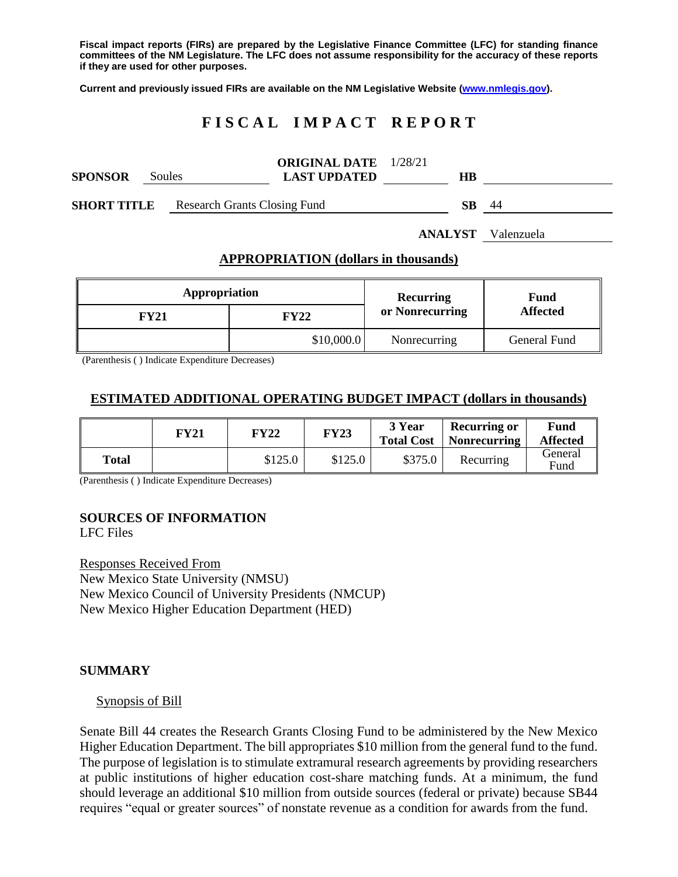**Fiscal impact reports (FIRs) are prepared by the Legislative Finance Committee (LFC) for standing finance committees of the NM Legislature. The LFC does not assume responsibility for the accuracy of these reports if they are used for other purposes.**

**Current and previously issued FIRs are available on the NM Legislative Website [\(www.nmlegis.gov\)](http://www.nmlegis.gov/).**

# **F I S C A L I M P A C T R E P O R T**

| <b>SPONSOR</b>     | Soules |                                     | <b>ORIGINAL DATE</b> 1/28/21<br><b>LAST UPDATED</b> | HВ |    |
|--------------------|--------|-------------------------------------|-----------------------------------------------------|----|----|
| <b>SHORT TITLE</b> |        | <b>Research Grants Closing Fund</b> |                                                     | SВ | 44 |

# **APPROPRIATION (dollars in thousands)**

**ANALYST** Valenzuela

| Appropriation |             | <b>Recurring</b> | <b>Fund</b><br><b>Affected</b> |  |
|---------------|-------------|------------------|--------------------------------|--|
| FY21          | <b>FY22</b> | or Nonrecurring  |                                |  |
|               | \$10,000.0  | Nonrecurring     | General Fund                   |  |

(Parenthesis ( ) Indicate Expenditure Decreases)

# **ESTIMATED ADDITIONAL OPERATING BUDGET IMPACT (dollars in thousands)**

|       | FY21 | FY22    | <b>FY23</b> | 3 Year<br><b>Total Cost</b> | <b>Recurring or</b><br><b>Nonrecurring</b> | Fund<br><b>Affected</b> |
|-------|------|---------|-------------|-----------------------------|--------------------------------------------|-------------------------|
| Total |      | \$125.0 | \$125.0     | \$375.0                     | Recurring                                  | General<br>Fund         |

(Parenthesis ( ) Indicate Expenditure Decreases)

# **SOURCES OF INFORMATION**

LFC Files

Responses Received From New Mexico State University (NMSU) New Mexico Council of University Presidents (NMCUP) New Mexico Higher Education Department (HED)

#### **SUMMARY**

#### Synopsis of Bill

Senate Bill 44 creates the Research Grants Closing Fund to be administered by the New Mexico Higher Education Department. The bill appropriates \$10 million from the general fund to the fund. The purpose of legislation is to stimulate extramural research agreements by providing researchers at public institutions of higher education cost-share matching funds. At a minimum, the fund should leverage an additional \$10 million from outside sources (federal or private) because SB44 requires "equal or greater sources" of nonstate revenue as a condition for awards from the fund.